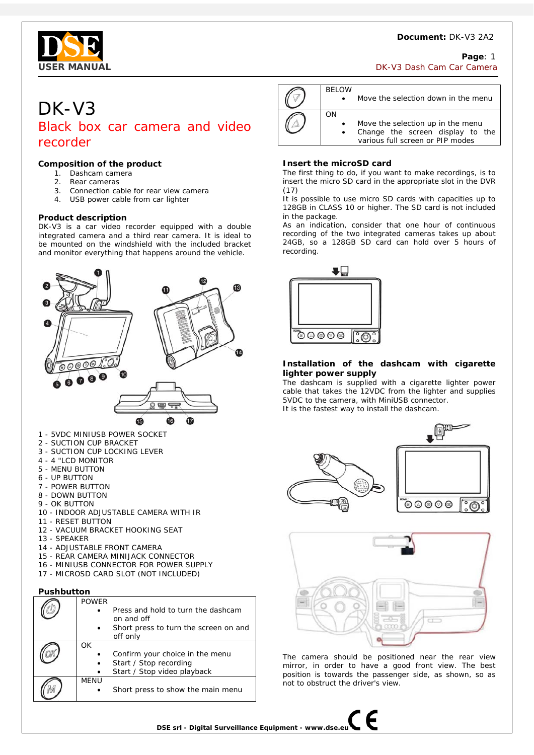

# **Page**: 1 **USER MANUAL**  DK-V3 Dash Cam Camera **DK-V3 Dash Cam Camera**

# DK-V3 Black box car camera and video recorder

# **Composition of the product**

- 1. Dashcam camera
- 2. Rear cameras
- 3. Connection cable for rear view camera
- 4. USB power cable from car lighter

## **Product description**

DK-V3 is a car video recorder equipped with a double integrated camera and a third rear camera. It is ideal to be mounted on the windshield with the included bracket and monitor everything that happens around the vehicle.



- 
- 5 MENU BUTTON
- 6 UP BUTTON
- 7 POWER BUTTON
- 8 DOWN BUTTON 9 - OK BUTTON
- 10 INDOOR ADJUSTABLE CAMERA WITH IR
- 11 RESET BUTTON
- 12 VACUUM BRACKET HOOKING SEAT
- 13 SPEAKER
- 14 ADJUSTABLE FRONT CAMERA
- 15 REAR CAMERA MINIJACK CONNECTOR
- 16 MINIUSB CONNECTOR FOR POWER SUPPLY
- 17 MICROSD CARD SLOT (NOT INCLUDED)

## **Pushbutton**

|  | <b>POWER</b> |                                       |
|--|--------------|---------------------------------------|
|  |              | Press and hold to turn the dashcam    |
|  |              | on and off                            |
|  | $\bullet$    | Short press to turn the screen on and |
|  |              | off only                              |
|  | OK           |                                       |
|  |              | Confirm your choice in the menu       |
|  | $\bullet$    | Start / Stop recording                |
|  |              | Start / Stop video playback           |
|  | <b>MFNU</b>  |                                       |
|  |              | Short press to show the main menu     |

| <b>BELOW</b>    | Move the selection down in the menu                                                                       |
|-----------------|-----------------------------------------------------------------------------------------------------------|
| ΩN<br>$\bullet$ | Move the selection up in the menu<br>Change the screen display to the<br>various full screen or PIP modes |

# **Insert the microSD card**

The first thing to do, if you want to make recordings, is to insert the micro SD card in the appropriate slot in the DVR (17)

It is possible to use micro SD cards with capacities up to 128GB in CLASS 10 or higher. The SD card is not included in the package.

As an indication, consider that one hour of continuous recording of the two integrated cameras takes up about 24GB, so a 128GB SD card can hold over 5 hours of recording.



# **Installation of the dashcam with cigarette lighter power supply**

The dashcam is supplied with a cigarette lighter power cable that takes the 12VDC from the lighter and supplies 5VDC to the camera, with MiniUSB connector. It is the fastest way to install the dashcam.

 $\begin{picture}(120,10) \put(0,0){\line(1,0){10}} \put(15,0){\line(1,0){10}} \put(15,0){\line(1,0){10}} \put(15,0){\line(1,0){10}} \put(15,0){\line(1,0){10}} \put(15,0){\line(1,0){10}} \put(15,0){\line(1,0){10}} \put(15,0){\line(1,0){10}} \put(15,0){\line(1,0){10}} \put(15,0){\line(1,0){10}} \put(15,0){\line(1,0){10}} \put(15,0){\line($  $\circ\circ\circ\circ$  $\overline{\overline{\Omega}}$ 



The camera should be positioned near the rear view mirror, in order to have a good front view. The best position is towards the passenger side, as shown, so as not to obstruct the driver's view.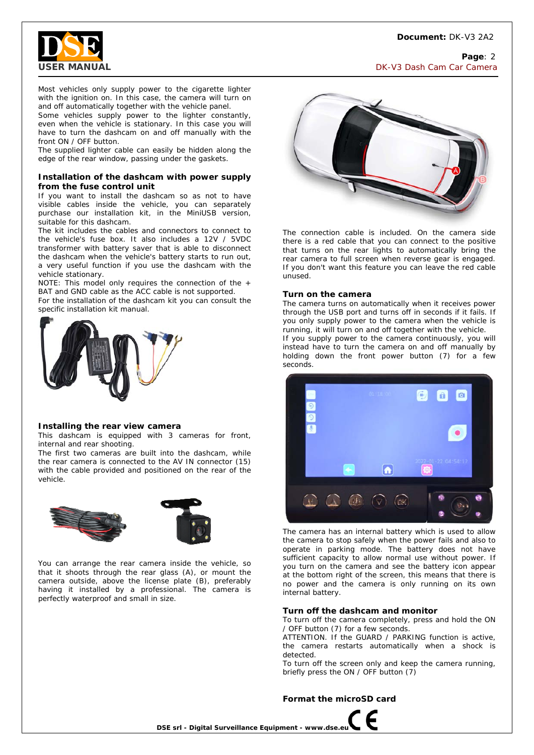

Page: 2 **USER MANUAL** DK-V3 Dash Cam Car Camera

Most vehicles only supply power to the cigarette lighter with the ignition on. In this case, the camera will turn on and off automatically together with the vehicle panel.

Some vehicles supply power to the lighter constantly, even when the vehicle is stationary. In this case you will have to turn the dashcam on and off manually with the front ON / OFF button.

The supplied lighter cable can easily be hidden along the edge of the rear window, passing under the gaskets.

### **Installation of the dashcam with power supply from the fuse control unit**

If you want to install the dashcam so as not to have visible cables inside the vehicle, you can separately purchase our installation kit, in the MiniUSB version, suitable for this dashcam.

The kit includes the cables and connectors to connect to the vehicle's fuse box. It also includes a 12V / 5VDC transformer with battery saver that is able to disconnect the dashcam when the vehicle's battery starts to run out, a very useful function if you use the dashcam with the vehicle stationary.

NOTE: This model only requires the connection of the + BAT and GND cable as the ACC cable is not supported.

For the installation of the dashcam kit you can consult the specific installation kit manual.



#### **Installing the rear view camera**

This dashcam is equipped with 3 cameras for front, internal and rear shooting.

The first two cameras are built into the dashcam, while the rear camera is connected to the AV IN connector (15) with the cable provided and positioned on the rear of the vehicle.





You can arrange the rear camera inside the vehicle, so that it shoots through the rear glass (A), or mount the camera outside, above the license plate (B), preferably having it installed by a professional. The camera is perfectly waterproof and small in size.



The connection cable is included. On the camera side there is a red cable that you can connect to the positive that turns on the rear lights to automatically bring the rear camera to full screen when reverse gear is engaged. If you don't want this feature you can leave the red cable unused.

#### **Turn on the camera**

The camera turns on automatically when it receives power through the USB port and turns off in seconds if it fails. If you only supply power to the camera when the vehicle is running, it will turn on and off together with the vehicle. If you supply power to the camera continuously, you will instead have to turn the camera on and off manually by holding down the front power button (7) for a few seconds.



The camera has an internal battery which is used to allow the camera to stop safely when the power fails and also to operate in parking mode. The battery does not have sufficient capacity to allow normal use without power. If you turn on the camera and see the battery icon appear at the bottom right of the screen, this means that there is no power and the camera is only running on its own internal battery.

#### **Turn off the dashcam and monitor**

To turn off the camera completely, press and hold the ON / OFF button (7) for a few seconds.

ATTENTION. If the GUARD / PARKING function is active, the camera restarts automatically when a shock is detected.

To turn off the screen only and keep the camera running, briefly press the ON / OFF button (7)

#### **Format the microSD card**



**DSE srl - Digital Surveillance Equipment - www.dse.e**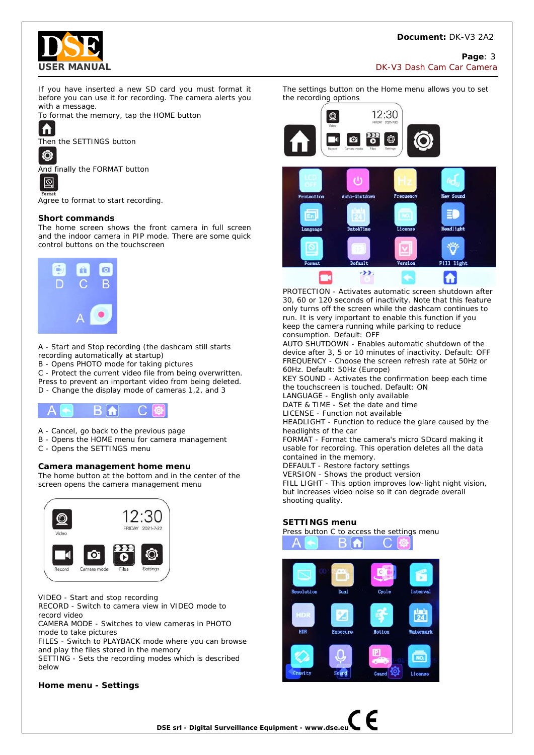

**Page**: 3 **USER MANUAL DISPONSITION OF A SECOND CONSTRUCT OF A SECOND PROPERTY OF A SECOND DESCRIPTION OF CAMERA CAMERA** 

If you have inserted a new SD card you must format it before you can use it for recording. The camera alerts you with a message.

To format the memory, tap the HOME button



Then the SETTINGS button

回

Ô

And finally the FORMAT button



Agree to format to start recording.

# **Short commands**

The home screen shows the front camera in full screen and the indoor camera in PIP mode. There are some quick control buttons on the touchscreen



A - Start and Stop recording (the dashcam still starts recording automatically at startup)

B - Opens PHOTO mode for taking pictures

C - Protect the current video file from being overwritten.

Press to prevent an important video from being deleted. D - Change the display mode of cameras 1,2, and 3



- A Cancel, go back to the previous page
- B Opens the HOME menu for camera management
- C Opens the SETTINGS menu

# **Camera management home menu**

The home button at the bottom and in the center of the screen opens the camera management menu



VIDEO - Start and stop recording

RECORD - Switch to camera view in VIDEO mode to record video

CAMERA MODE - Switches to view cameras in PHOTO mode to take pictures

FILES - Switch to PLAYBACK mode where you can browse and play the files stored in the memory

SETTING - Sets the recording modes which is described below

## **Home menu - Settings**



The settings button on the Home menu allows you to set the recording options





PROTECTION - Activates automatic screen shutdown after 30, 60 or 120 seconds of inactivity. Note that this feature only turns off the screen while the dashcam continues to run. It is very important to enable this function if you keep the camera running while parking to reduce consumption. Default: OFF

AUTO SHUTDOWN - Enables automatic shutdown of the device after 3, 5 or 10 minutes of inactivity. Default: OFF FREQUENCY - Choose the screen refresh rate at 50Hz or 60Hz. Default: 50Hz (Europe)

KEY SOUND - Activates the confirmation beep each time the touchscreen is touched. Default: ON

LANGUAGE - English only available

DATE & TIME - Set the date and time

LICENSE - Function not available

HEADLIGHT - Function to reduce the glare caused by the headlights of the car

FORMAT - Format the camera's micro SDcard making it usable for recording. This operation deletes all the data contained in the memory.

DEFAULT - Restore factory settings

VERSION - Shows the product version

FILL LIGHT - This option improves low-light night vision, but increases video noise so it can degrade overall shooting quality.

## **SETTINGS menu**



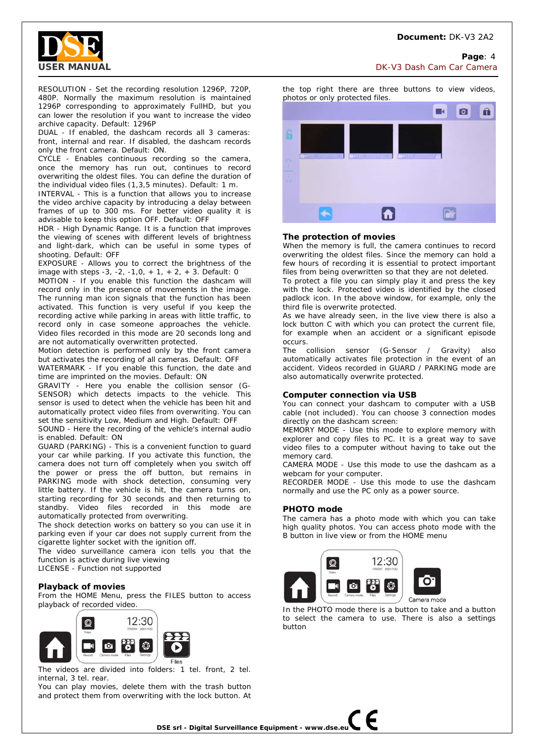

**Page**: 4 **USER MANUAL** DK-V3 Dash Cam Car Camera

RESOLUTION - Set the recording resolution 1296P, 720P, 480P. Normally the maximum resolution is maintained 1296P corresponding to approximately FullHD, but you can lower the resolution if you want to increase the video archive capacity. Default: 1296P

DUAL - If enabled, the dashcam records all 3 cameras: front, internal and rear. If disabled, the dashcam records only the front camera. Default: ON.

CYCLE - Enables continuous recording so the camera, once the memory has run out, continues to record overwriting the oldest files. You can define the duration of the individual video files (1,3,5 minutes). Default: 1 m.

INTERVAL - This is a function that allows you to increase the video archive capacity by introducing a delay between frames of up to 300 ms. For better video quality it is advisable to keep this option OFF. Default: OFF

HDR - High Dynamic Range. It is a function that improves the viewing of scenes with different levels of brightness and light-dark, which can be useful in some types of shooting. Default: OFF

EXPOSURE - Allows you to correct the brightness of the image with steps -3, -2, -1,0, + 1, + 2, + 3. Default: 0

MOTION - If you enable this function the dashcam will record only in the presence of movements in the image. The running man icon signals that the function has been activated. This function is very useful if you keep the recording active while parking in areas with little traffic, to record only in case someone approaches the vehicle. Video files recorded in this mode are 20 seconds long and are not automatically overwritten protected.

Motion detection is performed only by the front camera but activates the recording of all cameras. Default: OFF

WATERMARK - If you enable this function, the date and time are imprinted on the movies. Default: ON

GRAVITY - Here you enable the collision sensor (G-SENSOR) which detects impacts to the vehicle. This sensor is used to detect when the vehicle has been hit and automatically protect video files from overwriting. You can set the sensitivity Low, Medium and High. Default: OFF

SOUND - Here the recording of the vehicle's internal audio is enabled. Default: ON

GUARD (PARKING) - This is a convenient function to guard your car while parking. If you activate this function, the camera does not turn off completely when you switch off the power or press the off button, but remains in PARKING mode with shock detection, consuming very little battery. If the vehicle is hit, the camera turns on, starting recording for 30 seconds and then returning to standby. Video files recorded in this mode are automatically protected from overwriting.

The shock detection works on battery so you can use it in parking even if your car does not supply current from the cigarette lighter socket with the ignition off.

The video surveillance camera icon tells you that the function is active during live viewing

LICENSE - Function not supported

## **Playback of movies**

From the HOME Menu, press the FILES button to access playback of recorded video.



The videos are divided into folders: 1 tel. front, 2 tel. internal, 3 tel. rear.

You can play movies, delete them with the trash button and protect them from overwriting with the lock button. At

the top right there are three buttons to view videos, photos or only protected files. Ō  $\hat{\mathbf{u}}$ 



#### **The protection of movies**

When the memory is full, the camera continues to record overwriting the oldest files. Since the memory can hold a few hours of recording it is essential to protect important files from being overwritten so that they are not deleted.

To protect a file you can simply play it and press the key with the lock. Protected video is identified by the closed padlock icon. In the above window, for example, only the third file is overwrite protected.

As we have already seen, in the live view there is also a lock button C with which you can protect the current file, for example when an accident or a significant episode occurs.

The collision sensor (G-Sensor / Gravity) also automatically activates file protection in the event of an accident. Videos recorded in GUARD / PARKING mode are also automatically overwrite protected.

## **Computer connection via USB**

You can connect your dashcam to computer with a USB cable (not included). You can choose 3 connection modes directly on the dashcam screen:

MEMORY MODE - Use this mode to explore memory with explorer and copy files to PC. It is a great way to save video files to a computer without having to take out the memory card.

CAMERA MODE - Use this mode to use the dashcam as a webcam for your computer.

RECORDER MODE - Use this mode to use the dashcam normally and use the PC only as a power source.

## **PHOTO mode**

The camera has a photo mode with which you can take high quality photos. You can access photo mode with the B button in live view or from the HOME menu



In the PHOTO mode there is a button to take and a button to select the camera to use. There is also a settings button